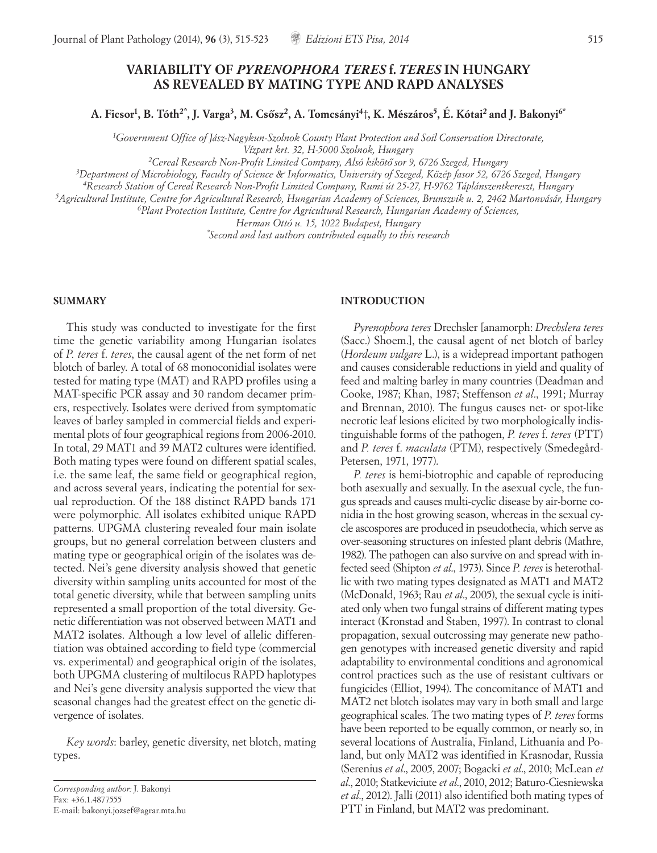# **VARIABILITY OF** *PYRENOPHORA TERES* **f.***TERES* **IN HUNGARY AS REVEALED BY MATING TYPE AND RAPD ANALYSES**

**A. Ficsor1, B. Tóth2\*, J. Varga3, M. Cso˝sz2, A. Tomcsányi4**†**, K. Mészáros5, É. Kótai2 and J. Bakonyi6\***

*1 Government Office of Jász-Nagykun-Szolnok County Plant Protection and Soil Conservation Directorate,* 

*Vízpart krt. 32, H-5000 Szolnok, Hungary*

*2Cereal Research Non-Profit Limited Company, Alsó kiköto˝ sor 9, 6726 Szeged, Hungary*

*3Department of Microbiology, Faculty of Science & Informatics, University of Szeged, Közép fasor 52, 6726 Szeged, Hungary*

*4Research Station of Cereal Research Non-Profit Limited Company, Rumi út 25-27, H-9762 Táplánszentkereszt, Hungary*

*5 Agricultural Institute, Centre for Agricultural Research, Hungarian Academy of Sciences, Brunszvik u. 2, 2462 Martonvásár, Hungary*

*6Plant Protection Institute, Centre for Agricultural Research, Hungarian Academy of Sciences,* 

*Herman Ottó u. 15, 1022 Budapest, Hungary*

*\* Second and last authors contributed equally to this research*

### **SUMMARY**

This study was conducted to investigate for the first time the genetic variability among Hungarian isolates of *P. teres* f. *teres*, the causal agent of the net form of net blotch of barley. A total of 68 monoconidial isolates were tested for mating type (MAT) and RAPD profiles using a MAT-specific PCR assay and 30 random decamer primers, respectively. Isolates were derived from symptomatic leaves of barley sampled in commercial fields and experimental plots of four geographical regions from 2006-2010. In total, 29 MAT1 and 39 MAT2 cultures were identified. Both mating types were found on different spatial scales, i.e. the same leaf, the same field or geographical region, and across several years, indicating the potential for sexual reproduction. Of the 188 distinct RAPD bands 171 were polymorphic. All isolates exhibited unique RAPD patterns. UPGMA clustering revealed four main isolate groups, but no general correlation between clusters and mating type or geographical origin of the isolates was detected. Nei's gene diversity analysis showed that genetic diversity within sampling units accounted for most of the total genetic diversity, while that between sampling units represented a small proportion of the total diversity. Genetic differentiation was not observed between MAT1 and MAT2 isolates. Although a low level of allelic differentiation was obtained according to field type (commercial vs. experimental) and geographical origin of the isolates, both UPGMA clustering of multilocus RAPD haplotypes and Nei's gene diversity analysis supported the view that seasonal changes had the greatest effect on the genetic divergence of isolates.

*Key words*: barley, genetic diversity, net blotch, mating types.

#### **INTRODUCTION**

*Pyrenophora teres* Drechsler [anamorph: *Drechslera teres* (Sacc.) Shoem.], the causal agent of net blotch of barley (*Hordeum vulgare* L.), is a widepread important pathogen and causes considerable reductions in yield and quality of feed and malting barley in many countries (Deadman and Cooke, 1987; Khan, 1987; Steffenson *et al*., 1991; Murray and Brennan, 2010). The fungus causes net- or spot-like necrotic leaf lesions elicited by two morphologically indistinguishable forms of the pathogen, *P. teres* f. *teres* (PTT) and *P. teres* f. *maculata* (PTM), respectively (Smedegård-Petersen, 1971, 1977).

*P. teres* is hemi-biotrophic and capable of reproducing both asexually and sexually. In the asexual cycle, the fungus spreads and causes multi-cyclic disease by air-borne conidia in the host growing season, whereas in the sexual cycle ascospores are produced in pseudothecia, which serve as over-seasoning structures on infested plant debris (Mathre, 1982). The pathogen can also survive on and spread with infected seed (Shipton *et al*., 1973). Since *P. teres* is heterothallic with two mating types designated as MAT1 and MAT2 (McDonald, 1963; Rau *et al*., 2005), the sexual cycle is initiated only when two fungal strains of different mating types interact (Kronstad and Staben, 1997). In contrast to clonal propagation, sexual outcrossing may generate new pathogen genotypes with increased genetic diversity and rapid adaptability to environmental conditions and agronomical control practices such as the use of resistant cultivars or fungicides (Elliot, 1994). The concomitance of MAT1 and MAT2 net blotch isolates may vary in both small and large geographical scales. The two mating types of *P. teres* forms have been reported to be equally common, or nearly so, in several locations of Australia, Finland, Lithuania and Poland, but only MAT2 was identified in Krasnodar, Russia (Serenius *et al*., 2005, 2007; Bogacki *et al*., 2010; McLean *et al*., 2010; Statkeviciute *et al*., 2010, 2012; Baturo-Ciesniewska *et al*., 2012). Jalli (2011) also identified both mating types of PTT in Finland, but MAT2 was predominant.

*Corresponding author:* J. Bakonyi Fax: +36.1.4877555 E-mail: bakonyi.jozsef@agrar.mta.hu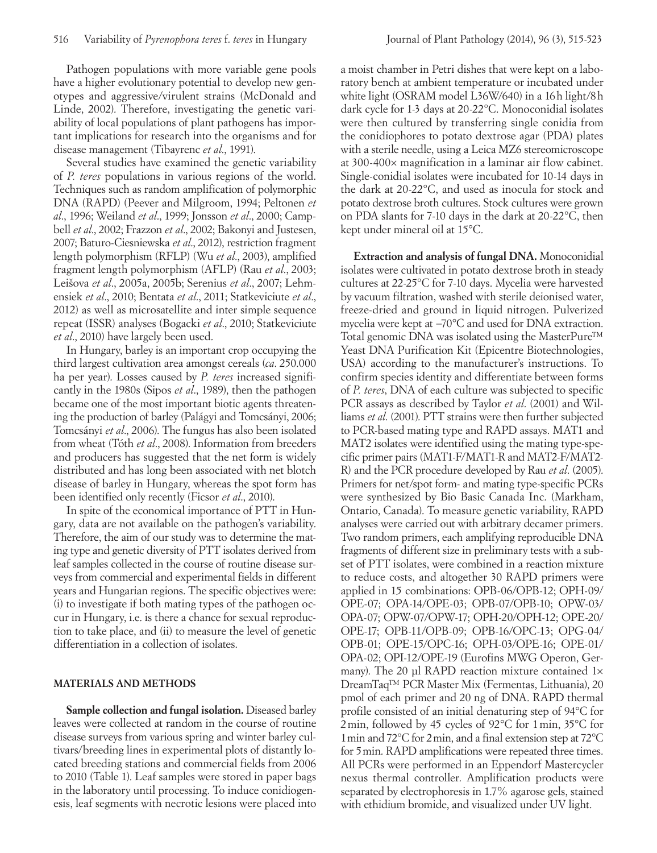Pathogen populations with more variable gene pools have a higher evolutionary potential to develop new genotypes and aggressive/virulent strains (McDonald and Linde, 2002). Therefore, investigating the genetic variability of local populations of plant pathogens has important implications for research into the organisms and for disease management (Tibayrenc *et al*., 1991).

Several studies have examined the genetic variability of *P. teres* populations in various regions of the world. Techniques such as random amplification of polymorphic DNA (RAPD) (Peever and Milgroom, 1994; Peltonen *et al*., 1996; Weiland *et al*., 1999; Jonsson *et al*., 2000; Campbell *et al*., 2002; Frazzon *et al*., 2002; Bakonyi and Justesen, 2007; Baturo-Ciesniewska *et al*., 2012), restriction fragment length polymorphism (RFLP) (Wu *et al*., 2003), amplified fragment length polymorphism (AFLP) (Rau *et al*., 2003; Leišova *et al*., 2005a, 2005b; Serenius *et al*., 2007; Lehmensiek *et al*., 2010; Bentata *et al*., 2011; Statkeviciute *et al*., 2012) as well as microsatellite and inter simple sequence repeat (ISSR) analyses (Bogacki *et al*., 2010; Statkeviciute *et al*., 2010) have largely been used.

In Hungary, barley is an important crop occupying the third largest cultivation area amongst cereals (*ca*. 250.000 ha per year). Losses caused by *P. teres* increased significantly in the 1980s (Sipos *et al*., 1989), then the pathogen became one of the most important biotic agents threatening the production of barley (Palágyi and Tomcsányi, 2006; Tomcsányi *et al*., 2006). The fungus has also been isolated from wheat (Tóth *et al*., 2008). Information from breeders and producers has suggested that the net form is widely distributed and has long been associated with net blotch disease of barley in Hungary, whereas the spot form has been identified only recently (Ficsor *et al*., 2010).

In spite of the economical importance of PTT in Hungary, data are not available on the pathogen's variability. Therefore, the aim of our study was to determine the mating type and genetic diversity of PTT isolates derived from leaf samples collected in the course of routine disease surveys from commercial and experimental fields in different years and Hungarian regions. The specific objectives were: (i) to investigate if both mating types of the pathogen occur in Hungary, i.e. is there a chance for sexual reproduction to take place, and (ii) to measure the level of genetic differentiation in a collection of isolates.

### **MATERIALS AND METHODS**

**Sample collection and fungal isolation.** Diseased barley leaves were collected at random in the course of routine disease surveys from various spring and winter barley cultivars/breeding lines in experimental plots of distantly located breeding stations and commercial fields from 2006 to 2010 (Table 1). Leaf samples were stored in paper bags in the laboratory until processing. To induce conidiogenesis, leaf segments with necrotic lesions were placed into a moist chamber in Petri dishes that were kept on a laboratory bench at ambient temperature or incubated under white light (OSRAM model L36W/640) in a 16h light/8h

dark cycle for 1-3 days at 20-22°C. Monoconidial isolates were then cultured by transferring single conidia from the conidiophores to potato dextrose agar (PDA) plates with a sterile needle, using a Leica MZ6 stereomicroscope at 300-400× magnification in a laminar air flow cabinet. Single-conidial isolates were incubated for 10-14 days in the dark at 20-22°C, and used as inocula for stock and potato dextrose broth cultures. Stock cultures were grown on PDA slants for 7-10 days in the dark at 20-22°C, then kept under mineral oil at 15°C.

**Extraction and analysis of fungal DNA.** Monoconidial isolates were cultivated in potato dextrose broth in steady cultures at 22-25°C for 7-10 days. Mycelia were harvested by vacuum filtration, washed with sterile deionised water, freeze-dried and ground in liquid nitrogen. Pulverized mycelia were kept at −70°C and used for DNA extraction. Total genomic DNA was isolated using the MasterPure™ Yeast DNA Purification Kit (Epicentre Biotechnologies, USA) according to the manufacturer's instructions. To confirm species identity and differentiate between forms of *P. teres*, DNA of each culture was subjected to specific PCR assays as described by Taylor *et al*. (2001) and Williams *et al*. (2001). PTT strains were then further subjected to PCR-based mating type and RAPD assays. MAT1 and MAT2 isolates were identified using the mating type-specific primer pairs (MAT1-F/MAT1-R and MAT2-F/MAT2- R) and the PCR procedure developed by Rau *et al*. (2005). Primers for net/spot form- and mating type-specific PCRs were synthesized by Bio Basic Canada Inc. (Markham, Ontario, Canada). To measure genetic variability, RAPD analyses were carried out with arbitrary decamer primers. Two random primers, each amplifying reproducible DNA fragments of different size in preliminary tests with a subset of PTT isolates, were combined in a reaction mixture to reduce costs, and altogether 30 RAPD primers were applied in 15 combinations: OPB-06/OPB-12; OPH-09/ OPE-07; OPA-14/OPE-03; OPB-07/OPB-10; OPW-03/ OPA-07; OPW-07/OPW-17; OPH-20/OPH-12; OPE-20/ OPE-17; OPB-11/OPB-09; OPB-16/OPC-13; OPG-04/ OPB-01; OPE-15/OPC-16; OPH-03/OPE-16; OPE-01/ OPA-02; OPI-12/OPE-19 (Eurofins MWG Operon, Germany). The 20 μl RAPD reaction mixture contained 1× DreamTaq™ PCR Master Mix (Fermentas, Lithuania), 20 pmol of each primer and 20 ng of DNA. RAPD thermal profile consisted of an initial denaturing step of 94°C for 2min, followed by 45 cycles of 92°C for 1min, 35°C for 1min and 72°C for 2min, and a final extension step at 72°C for 5min. RAPD amplifications were repeated three times. All PCRs were performed in an Eppendorf Mastercycler nexus thermal controller. Amplification products were separated by electrophoresis in 1.7% agarose gels, stained with ethidium bromide, and visualized under UV light.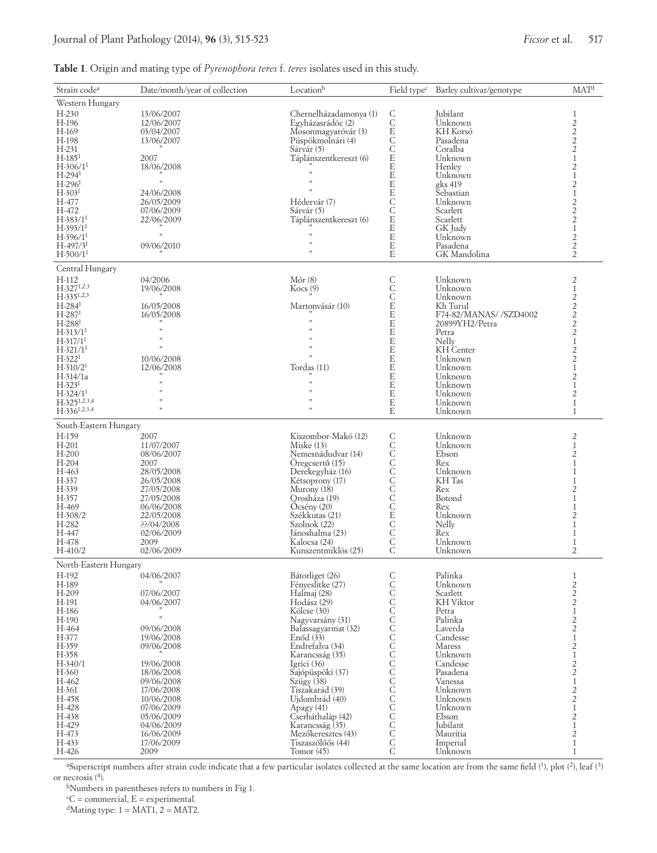# **Table 1**. Origin and mating type of *Pyrenophora teres* f. *teres* isolates used in this study.

| Strain code <sup>a</sup>   | Date/month/year of collection | Locationb                         |                            | Field type <sup>c</sup> Barley cultivar/genotype | MAT <sup>d</sup>                           |
|----------------------------|-------------------------------|-----------------------------------|----------------------------|--------------------------------------------------|--------------------------------------------|
| Western Hungary            |                               |                                   |                            |                                                  |                                            |
| $H-230$                    | 13/06/2007                    | Chernelházadamonya (1)            | $\mathsf C$                | Jubilant                                         | 1                                          |
| H-196                      | 12/06/2007                    | Egyházasrádóc (2)                 | C<br>E                     | Unknown                                          | $\overline{c}$                             |
| H-169                      | 03/04/2007                    | Mosonmagyaróvár (3)               |                            | KH Korsó                                         | $\overline{c}$                             |
| H-198                      | 13/06/2007                    | Püspökmolnári (4)                 | $\frac{C}{C}$              | Pasadena                                         | $\overline{2}$                             |
| H-231<br>$H-1851$          |                               | Sárvár (5)                        | E                          | Coralba                                          | $\overline{2}$<br>$\mathbf{1}$             |
| $H-306/11$                 | 2007<br>18/06/2008            | Táplánszentkereszt (6)            | E                          | Unknown<br>Henley                                | $\overline{c}$                             |
| $H-294$ <sup>1</sup>       |                               | ,                                 | E                          | Unknown                                          | $\mathbf{1}$                               |
| $H-2961$                   | ,                             | 33                                | E                          | gks 419                                          | $\overline{2}$                             |
| $H-3031$                   | 24/06/2008                    | $\mathfrak{z}$                    | $\mathbf E$                | Sebastian                                        | $\mathbf{1}$                               |
| H-477                      | 26/05/2009                    | Hédervár (7)                      | $\mathsf{C}$               | Unknown                                          | $\overline{c}$                             |
| H-472                      | 07/06/2009                    | Sárvár <sup>(5)</sup>             | Č                          | Scarlett                                         | $\overline{c}$                             |
| $H - 383/11$<br>$H-393/11$ | 22/06/2009                    | Táplánszentkereszt (6)            | $\mathbf E$<br>$\mathbf E$ | Scarlett                                         | $\overline{c}$<br>$\mathbf{1}$             |
| $H-396/11$                 | ,                             | 33                                | E                          | GK Judy<br>Unknown                               | 2                                          |
| $H-497/31$                 | 09/06/2010                    | ,,                                | $\mathbf E$                | Pasadena                                         | $\overline{c}$                             |
| $H-500/11$                 |                               | $\mathfrak{z}$                    | E                          | GK Mandolina                                     | $\overline{2}$                             |
|                            |                               |                                   |                            |                                                  |                                            |
| Central Hungary            |                               |                                   |                            |                                                  |                                            |
| H-112<br>$H-327^{1,2,3}$   | 04/2006                       | Mór(8)                            | C<br>C<br>C                | Unknown<br>Unknown                               | 2<br>$\mathbf{1}$                          |
| $H-335^{1,2,3}$            | 19/06/2008                    | Kocs(9)                           |                            | Unknown                                          | $\overline{c}$                             |
| $H-284^1$                  | 16/05/2008                    | Martonyásár (10)                  | E                          | Kh Turul                                         | $\overline{c}$                             |
| $H-2871$                   | 16/05/2008                    |                                   | E                          | F74-82/MANAS//SZD4002                            |                                            |
| $H-288$ <sup>1</sup>       |                               |                                   | E                          | 20899YH2/Petra                                   | $\frac{2}{2}$                              |
| $H-313/11$                 | $,$                           | ,                                 | E                          | Petra                                            | $\overline{c}$                             |
| $H-317/11$                 | ,                             | ,,                                | $\mathbf E$                | Nelly                                            | $\mathbf{1}$                               |
| $H-321/11$                 | ,                             | ,<br>,                            | E                          | KH Center                                        | $\overline{c}$                             |
| $H-3221$                   | 10/06/2008                    |                                   | E                          | Unknown                                          | $\overline{2}$                             |
| $H-310/21$                 | 12/06/2008                    | Tordas (11)                       | $\mathbf E$<br>E           | Unknown                                          | $\mathbf{1}$                               |
| $H-314/1a$<br>$H-3231$     | ,                             | 33                                | $\mathbf E$                | Unknown<br>Unknown                               | $\overline{2}$<br>$\mathbf{1}$             |
| $H-324/11$                 | ,                             | $\mathcal{L}$                     | $\mathbf E$                | Unknown                                          | $\overline{c}$                             |
| $H-325^{1,2,3,4}$          | $\mathcal{L}$                 | 33                                | $\mathbf E$                | Unknown                                          | $\mathbf{1}$                               |
| $H-336^{1,2,3,4}$          | $\mathcal{D}$                 | $\mathfrak{z}$                    | E                          | Unknown                                          | $\mathbf{1}$                               |
| South-Eastern Hungary      |                               |                                   |                            |                                                  |                                            |
|                            |                               |                                   |                            |                                                  |                                            |
| H-159<br>$H-201$           | 2007<br>11/07/2007            | Kiszombor-Makó (12)<br>Miske(13)  |                            | Unknown<br>Unknown                               | 2<br>$\mathbf{1}$                          |
| $H-200$                    | 08/06/2007                    | Nemesnádudvar (14)                | CCCCCCCCCECCC              | Ebson                                            | $\overline{2}$                             |
| $H-204$                    | 2007                          | Oregcsertő (15)                   |                            | Rex                                              | $\mathbf{1}$                               |
| H-463                      | 28/05/2008                    | Derekegyház (16)                  |                            | Unknown                                          | 1                                          |
| H-337                      | 26/05/2008                    | Kétsoprony (17)                   |                            | KH Tas                                           |                                            |
| H-339                      | 27/05/2008                    | Murony (18)                       |                            | Rex                                              | 2                                          |
| H-357                      | 27/05/2008                    | Orosháza (19)                     |                            | Botond                                           | 1                                          |
| H-469<br>$H-308/2$         | 06/06/2008                    | Ocsény(20)                        |                            | Rex                                              |                                            |
| H-282                      | 22/05/2008<br>??/04/2008      | Székkutas (21)<br>Szolnok (22)    |                            | Unknown<br>Nelly                                 | 2<br>1                                     |
| H-447                      | 02/06/2009                    | Jánoshalma (23)                   |                            | Rex                                              | 1                                          |
| H-478                      | 2009                          | Kalocsa (24)                      |                            | Unknown                                          | $\mathbf{1}$                               |
| $H-410/2$                  | 02/06/2009                    | Kunszentmiklós (25)               | Ċ                          | Unknown                                          | $\overline{2}$                             |
| North-Eastern Hungary      |                               |                                   |                            |                                                  |                                            |
| H-192                      | 04/06/2007                    | Bátorliget (26)                   |                            | Palinka                                          | 1                                          |
| H-189                      |                               | FényesIitke (27)                  |                            | Unknown                                          |                                            |
| H-209                      | 07/06/2007                    | Halmaj (28)                       |                            | Scarlett                                         |                                            |
| H-191                      | 04/06/2007                    | Hodász (29)                       |                            | KH Viktor                                        | $\begin{array}{c} 2 \\ 2 \\ 2 \end{array}$ |
| H-186                      |                               | Kölcse (30)                       |                            | Petra                                            | $\mathbf{1}$                               |
| H-190                      | ,                             | Nagyvarsány (31)                  |                            | Palinka                                          | $\overline{c}$                             |
| H-464                      | 09/06/2008                    | Balassagyarmat (32)               |                            | Laverda                                          | $\overline{c}$                             |
| H-377                      | 19/06/2008                    | Enód(33)                          |                            | Candesse                                         | $\mathbf{1}$                               |
| H-359<br>H-358             | 09/06/2008                    | Endrefalva (34)                   |                            | Maress                                           | $\overline{c}$                             |
| $H-340/1$                  | 19/06/2008                    | Karancsság (35)<br>Igrici $(36)$  |                            | Unknown<br>Candesse                              | $\mathbf{1}$<br>2                          |
| H-360                      | 18/06/2008                    | Sajópüspöki (37)                  |                            | Pasadena                                         | $\overline{c}$                             |
| H-462                      | 09/06/2008                    | Szügy $(38)$                      |                            | Vanessa                                          | $\mathbf{1}$                               |
| H-361                      | 17/06/2008                    | Tiszakarád (39)                   |                            | Unknown                                          |                                            |
| H-458                      | 10/06/2008                    | Ujdombrád (40)                    |                            | Unknown                                          | $\frac{2}{2}$                              |
| H-428                      | 07/06/2009                    | Apagy (41)                        |                            | Unknown                                          | $\mathbf{1}$                               |
| H-438                      | 05/06/2009                    | Cserháthaláp (42)                 |                            | Ebson                                            | $\overline{c}$                             |
| H-429                      | 04/06/2009                    | Karancsság (35)                   |                            | Jubilant                                         | $\mathbf{1}$                               |
| H-473                      | 16/06/2009                    | Mezőkeresztes (43)                | CCCCCCCCCCCCCCCCCCCCC      | Mauritia                                         | $\overline{c}$                             |
| H-433<br>H-426             | 17/06/2009<br>2009            | Tiszaszőlőős (44)<br>Tomor $(45)$ |                            | Imperial<br>Unknown                              | $1\,$<br>$\mathbf{1}$                      |
|                            |                               |                                   |                            |                                                  |                                            |

<sup>a</sup>Superscript numbers after strain code indicate that a few particular isolates collected at the same location are from the same field  $(1)$ , plot  $(2)$ , leaf  $(3)$ or necrosis (4 ).

bNumbers in parentheses refers to numbers in Fig 1.

 ${}^cC$  = commercial,  $E$  = experimental.

<sup>d</sup>Mating type:  $1 = \text{MAT1, 2} = \text{MAT2.}$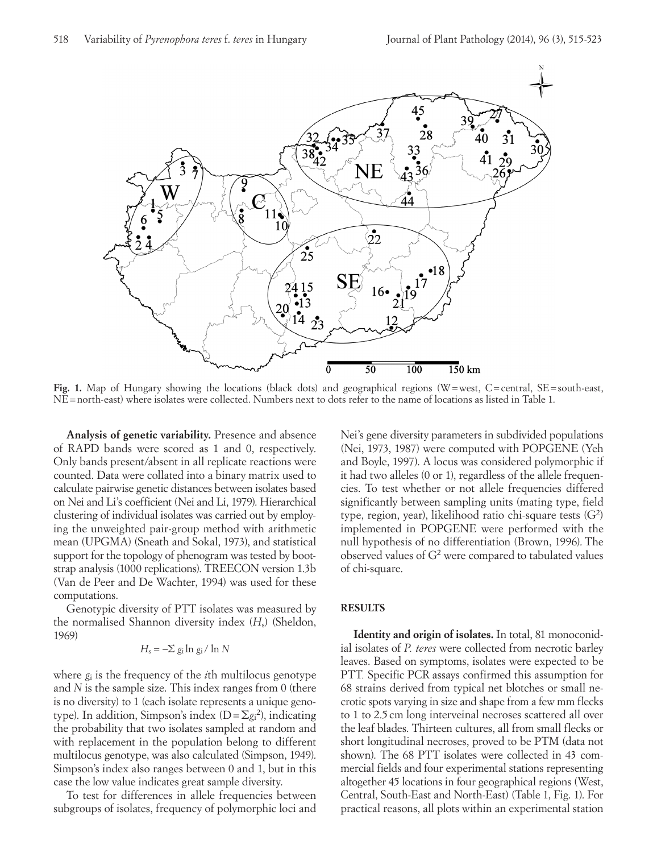

**Fig. 1.** Map of Hungary showing the locations (black dots) and geographical regions (W=west, C=central, SE=south-east, NE=north-east) where isolates were collected. Numbers next to dots refer to the name of locations as listed in Table 1.

**Analysis of genetic variability.** Presence and absence of RAPD bands were scored as 1 and 0, respectively. Only bands present/absent in all replicate reactions were counted. Data were collated into a binary matrix used to calculate pairwise genetic distances between isolates based on Nei and Li's coefficient (Nei and Li, 1979). Hierarchical clustering of individual isolates was carried out by employing the unweighted pair-group method with arithmetic mean (UPGMA) (Sneath and Sokal, 1973), and statistical support for the topology of phenogram was tested by bootstrap analysis (1000 replications). TREECON version 1.3b (Van de Peer and De Wachter, 1994) was used for these computations.

Genotypic diversity of PTT isolates was measured by the normalised Shannon diversity index (*H*s) (Sheldon, 1969)

$$
H_{\rm s} = -\Sigma g_{\rm i} \ln g_{\rm i} / \ln N
$$

where *g*i is the frequency of the *i*th multilocus genotype and *N* is the sample size. This index ranges from 0 (there is no diversity) to 1 (each isolate represents a unique genotype). In addition, Simpson's index (D=Σ*g*<sup>i</sup> 2 ), indicating the probability that two isolates sampled at random and with replacement in the population belong to different multilocus genotype, was also calculated (Simpson, 1949). Simpson's index also ranges between 0 and 1, but in this case the low value indicates great sample diversity.

To test for differences in allele frequencies between subgroups of isolates, frequency of polymorphic loci and

Nei's gene diversity parameters in subdivided populations (Nei, 1973, 1987) were computed with POPGENE (Yeh and Boyle, 1997). A locus was considered polymorphic if it had two alleles (0 or 1), regardless of the allele frequencies. To test whether or not allele frequencies differed significantly between sampling units (mating type, field type, region, year), likelihood ratio chi-square tests (G2 ) implemented in POPGENE were performed with the null hypothesis of no differentiation (Brown, 1996). The observed values of G2 were compared to tabulated values of chi-square.

### **RESULTS**

**Identity and origin of isolates.** In total, 81 monoconidial isolates of *P. teres* were collected from necrotic barley leaves. Based on symptoms, isolates were expected to be PTT*.* Specific PCR assays confirmed this assumption for 68 strains derived from typical net blotches or small necrotic spots varying in size and shape from a few mm flecks to 1 to 2.5cm long interveinal necroses scattered all over the leaf blades. Thirteen cultures, all from small flecks or short longitudinal necroses, proved to be PTM (data not shown). The 68 PTT isolates were collected in 43 commercial fields and four experimental stations representing altogether 45 locations in four geographical regions (West, Central, South-East and North-East) (Table 1, Fig. 1). For practical reasons, all plots within an experimental station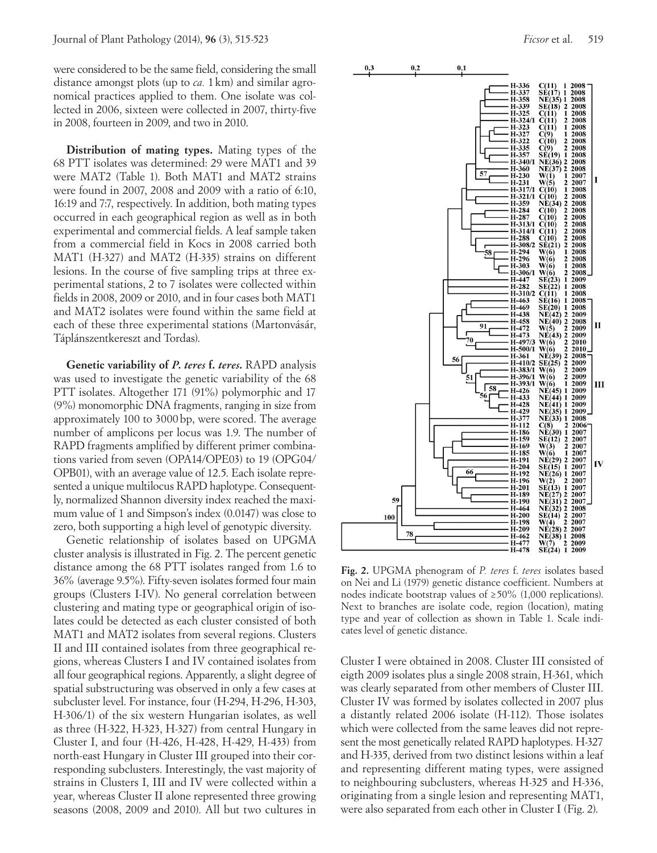were considered to be the same field, considering the small distance amongst plots (up to *ca.* 1km) and similar agronomical practices applied to them. One isolate was collected in 2006, sixteen were collected in 2007, thirty-five in 2008, fourteen in 2009, and two in 2010.

**Distribution of mating types.** Mating types of the 68 PTT isolates was determined: 29 were MAT1 and 39 were MAT2 (Table 1). Both MAT1 and MAT2 strains were found in 2007, 2008 and 2009 with a ratio of 6:10, 16:19 and 7:7, respectively. In addition, both mating types occurred in each geographical region as well as in both experimental and commercial fields. A leaf sample taken from a commercial field in Kocs in 2008 carried both MAT1 (H-327) and MAT2 (H-335) strains on different lesions. In the course of five sampling trips at three experimental stations, 2 to 7 isolates were collected within fields in 2008, 2009 or 2010, and in four cases both MAT1 and MAT2 isolates were found within the same field at each of these three experimental stations (Martonvásár, Táplánszentkereszt and Tordas).

**Genetic variability of** *P. teres* **f.** *teres.* RAPD analysis was used to investigate the genetic variability of the 68 PTT isolates. Altogether 171 (91%) polymorphic and 17 (9%) monomorphic DNA fragments, ranging in size from approximately 100 to 3000bp, were scored. The average number of amplicons per locus was 1.9. The number of RAPD fragments amplified by different primer combinations varied from seven (OPA14/OPE03) to 19 (OPG04/ OPB01), with an average value of 12.5. Each isolate represented a unique multilocus RAPD haplotype. Consequently, normalized Shannon diversity index reached the maximum value of 1 and Simpson's index (0.0147) was close to zero, both supporting a high level of genotypic diversity.

Genetic relationship of isolates based on UPGMA cluster analysis is illustrated in Fig. 2. The percent genetic distance among the 68 PTT isolates ranged from 1.6 to 36% (average 9.5%). Fifty-seven isolates formed four main groups (Clusters I-IV). No general correlation between clustering and mating type or geographical origin of isolates could be detected as each cluster consisted of both MAT1 and MAT2 isolates from several regions. Clusters II and III contained isolates from three geographical regions, whereas Clusters I and IV contained isolates from all four geographical regions. Apparently, a slight degree of spatial substructuring was observed in only a few cases at subcluster level. For instance, four (H-294, H-296, H-303, H-306/1) of the six western Hungarian isolates, as well as three (H-322, H-323, H-327) from central Hungary in Cluster I, and four (H-426, H-428, H-429, H-433) from north-east Hungary in Cluster III grouped into their corresponding subclusters. Interestingly, the vast majority of strains in Clusters I, III and IV were collected within a year, whereas Cluster II alone represented three growing seasons (2008, 2009 and 2010). All but two cultures in



**Fig. 2.** UPGMA phenogram of *P. teres* f. *teres* isolates based on Nei and Li (1979) genetic distance coefficient. Numbers at nodes indicate bootstrap values of ≥50% (1,000 replications). Next to branches are isolate code, region (location), mating type and year of collection as shown in Table 1. Scale indicates level of genetic distance.

Cluster I were obtained in 2008. Cluster III consisted of eigth 2009 isolates plus a single 2008 strain, H-361, which was clearly separated from other members of Cluster III. Cluster IV was formed by isolates collected in 2007 plus a distantly related 2006 isolate (H-112). Those isolates which were collected from the same leaves did not represent the most genetically related RAPD haplotypes. H-327 and H-335, derived from two distinct lesions within a leaf and representing different mating types, were assigned to neighbouring subclusters, whereas H-325 and H-336, originating from a single lesion and representing MAT1, were also separated from each other in Cluster I (Fig. 2).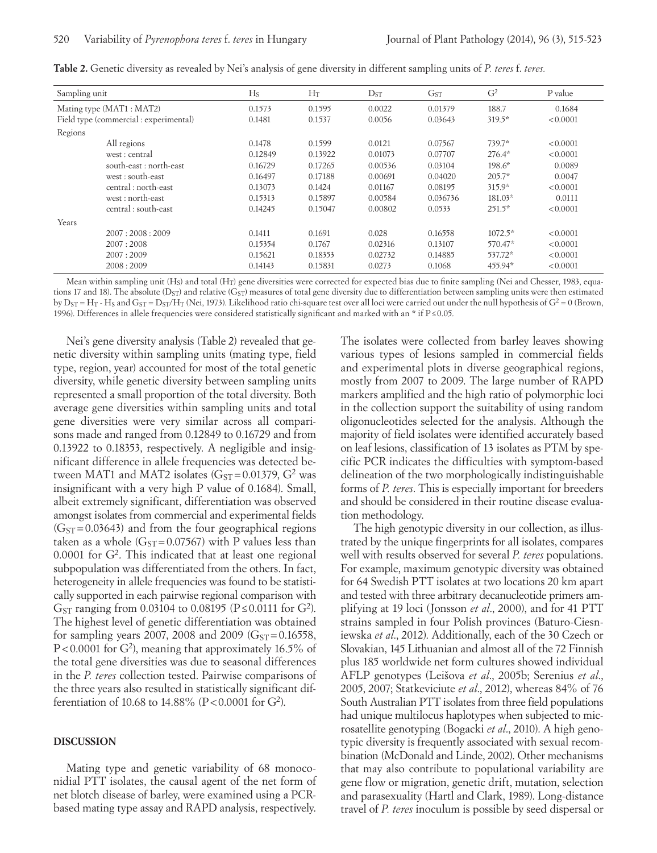| Sampling unit                          |                         | $H_S$   | $H_T$   | $D_{ST}$ | G <sub>ST</sub> | G <sup>2</sup> | P value  |
|----------------------------------------|-------------------------|---------|---------|----------|-----------------|----------------|----------|
| Mating type (MAT1 : MAT2)              |                         | 0.1573  | 0.1595  | 0.0022   | 0.01379         | 188.7          | 0.1684   |
| Field type (commercial : experimental) |                         | 0.1481  | 0.1537  | 0.0056   | 0.03643         | $319.5*$       | < 0.0001 |
| Regions                                |                         |         |         |          |                 |                |          |
|                                        | All regions             | 0.1478  | 0.1599  | 0.0121   | 0.07567         | 739.7*         | < 0.0001 |
|                                        | west: central           | 0.12849 | 0.13922 | 0.01073  | 0.07707         | $276.4*$       | < 0.0001 |
|                                        | south-east : north-east | 0.16729 | 0.17265 | 0.00536  | 0.03104         | $198.6*$       | 0.0089   |
|                                        | west: south-east        | 0.16497 | 0.17188 | 0.00691  | 0.04020         | $205.7*$       | 0.0047   |
|                                        | central: north-east     | 0.13073 | 0.1424  | 0.01167  | 0.08195         | $315.9*$       | < 0.0001 |
|                                        | west: north-east        | 0.15313 | 0.15897 | 0.00584  | 0.036736        | 181.03*        | 0.0111   |
|                                        | central: south-east     | 0.14245 | 0.15047 | 0.00802  | 0.0533          | $251.5*$       | < 0.0001 |
| Years                                  |                         |         |         |          |                 |                |          |
|                                        | 2007:2008:2009          | 0.1411  | 0.1691  | 0.028    | 0.16558         | $1072.5*$      | < 0.0001 |
|                                        | 2007:2008               | 0.15354 | 0.1767  | 0.02316  | 0.13107         | 570.47*        | < 0.0001 |
|                                        | 2007:2009               | 0.15621 | 0.18353 | 0.02732  | 0.14885         | 537.72*        | < 0.0001 |
|                                        | 2008:2009               | 0.14143 | 0.15831 | 0.0273   | 0.1068          | 455.94*        | < 0.0001 |

**Table 2.** Genetic diversity as revealed by Nei's analysis of gene diversity in different sampling units of *P. teres* f. *teres.*

Mean within sampling unit (H<sub>S</sub>) and total (H<sub>T</sub>) gene diversities were corrected for expected bias due to finite sampling (Nei and Chesser, 1983, equations 17 and 18). The absolute (DST) and relative (GST) measures of total gene diversity due to differentiation between sampling units were then estimated by  $D_{ST} = H_T$  - H<sub>S</sub> and  $G_{ST} = D_{ST}/H_T$  (Nei, 1973). Likelihood ratio chi-square test over all loci were carried out under the null hypothesis of  $G^2 = 0$  (Brown, 1996). Differences in allele frequencies were considered statistically significant and marked with an \* if P≤0.05.

Nei's gene diversity analysis (Table 2) revealed that genetic diversity within sampling units (mating type, field type, region, year) accounted for most of the total genetic diversity, while genetic diversity between sampling units represented a small proportion of the total diversity. Both average gene diversities within sampling units and total gene diversities were very similar across all comparisons made and ranged from 0.12849 to 0.16729 and from 0.13922 to 0.18353, respectively. A negligible and insignificant difference in allele frequencies was detected between MAT1 and MAT2 isolates  $(G_{ST} = 0.01379, G^2$  was insignificant with a very high P value of 0.1684). Small, albeit extremely significant, differentiation was observed amongst isolates from commercial and experimental fields  $(G<sub>ST</sub>=0.03643)$  and from the four geographical regions taken as a whole  $(G<sub>ST</sub>=0.07567)$  with P values less than  $0.0001$  for  $G<sup>2</sup>$ . This indicated that at least one regional subpopulation was differentiated from the others. In fact, heterogeneity in allele frequencies was found to be statistically supported in each pairwise regional comparison with G<sub>ST</sub> ranging from 0.03104 to 0.08195 (P ≤ 0.0111 for G<sup>2</sup>). The highest level of genetic differentiation was obtained for sampling years 2007, 2008 and 2009 ( $G_{ST} = 0.16558$ , P<0.0001 for G<sup>2</sup>), meaning that approximately 16.5% of the total gene diversities was due to seasonal differences in the *P. teres* collection tested. Pairwise comparisons of the three years also resulted in statistically significant differentiation of 10.68 to 14.88% (P<0.0001 for G<sup>2</sup>).

#### **DISCUSSION**

Mating type and genetic variability of 68 monoconidial PTT isolates, the causal agent of the net form of net blotch disease of barley, were examined using a PCRbased mating type assay and RAPD analysis, respectively.

The isolates were collected from barley leaves showing various types of lesions sampled in commercial fields and experimental plots in diverse geographical regions, mostly from 2007 to 2009. The large number of RAPD markers amplified and the high ratio of polymorphic loci in the collection support the suitability of using random oligonucleotides selected for the analysis. Although the majority of field isolates were identified accurately based on leaf lesions, classification of 13 isolates as PTM by specific PCR indicates the difficulties with symptom-based delineation of the two morphologically indistinguishable forms of *P. teres*. This is especially important for breeders and should be considered in their routine disease evaluation methodology.

The high genotypic diversity in our collection, as illustrated by the unique fingerprints for all isolates, compares well with results observed for several *P. teres* populations. For example, maximum genotypic diversity was obtained for 64 Swedish PTT isolates at two locations 20 km apart and tested with three arbitrary decanucleotide primers amplifying at 19 loci (Jonsson *et al*., 2000), and for 41 PTT strains sampled in four Polish provinces (Baturo-Ciesniewska *et al*., 2012). Additionally, each of the 30 Czech or Slovakian, 145 Lithuanian and almost all of the 72 Finnish plus 185 worldwide net form cultures showed individual AFLP genotypes (Leišova *et al*., 2005b; Serenius *et al*., 2005, 2007; Statkeviciute *et al*., 2012), whereas 84% of 76 South Australian PTT isolates from three field populations had unique multilocus haplotypes when subjected to microsatellite genotyping (Bogacki *et al*., 2010). A high genotypic diversity is frequently associated with sexual recombination (McDonald and Linde, 2002). Other mechanisms that may also contribute to populational variability are gene flow or migration, genetic drift, mutation, selection and parasexuality (Hartl and Clark, 1989). Long-distance travel of *P. teres* inoculum is possible by seed dispersal or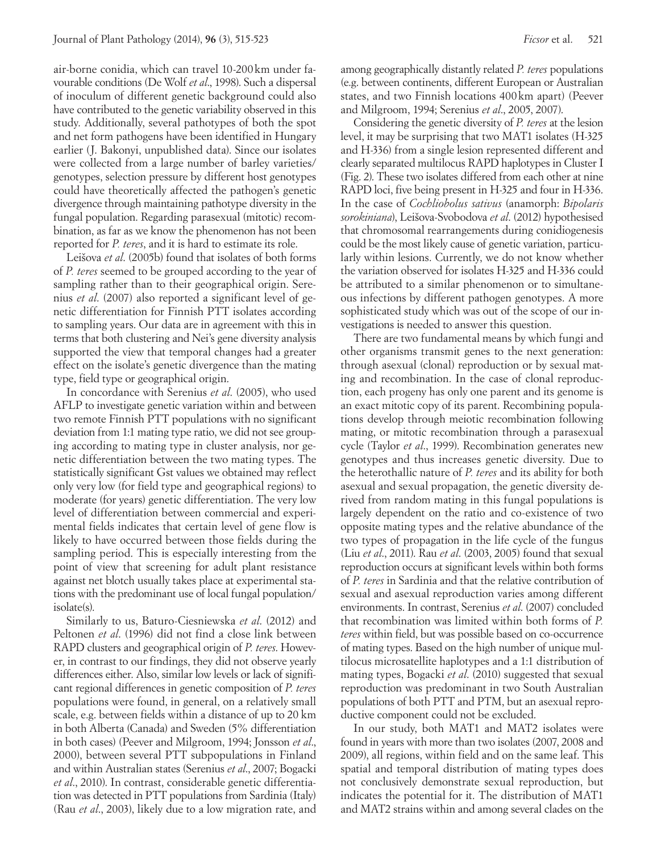air-borne conidia, which can travel 10-200 km under favourable conditions (De Wolf *et al*., 1998). Such a dispersal of inoculum of different genetic background could also have contributed to the genetic variability observed in this study. Additionally, several pathotypes of both the spot and net form pathogens have been identified in Hungary earlier (J. Bakonyi, unpublished data). Since our isolates were collected from a large number of barley varieties/ genotypes, selection pressure by different host genotypes could have theoretically affected the pathogen's genetic divergence through maintaining pathotype diversity in the fungal population. Regarding parasexual (mitotic) recombination, as far as we know the phenomenon has not been reported for *P. teres*, and it is hard to estimate its role.

Leišova *et al*. (2005b) found that isolates of both forms of *P. teres* seemed to be grouped according to the year of sampling rather than to their geographical origin. Serenius *et al*. (2007) also reported a significant level of genetic differentiation for Finnish PTT isolates according to sampling years. Our data are in agreement with this in terms that both clustering and Nei's gene diversity analysis supported the view that temporal changes had a greater effect on the isolate's genetic divergence than the mating type, field type or geographical origin.

In concordance with Serenius *et al*. (2005), who used AFLP to investigate genetic variation within and between two remote Finnish PTT populations with no significant deviation from 1:1 mating type ratio, we did not see grouping according to mating type in cluster analysis, nor genetic differentiation between the two mating types. The statistically significant Gst values we obtained may reflect only very low (for field type and geographical regions) to moderate (for years) genetic differentiation. The very low level of differentiation between commercial and experimental fields indicates that certain level of gene flow is likely to have occurred between those fields during the sampling period. This is especially interesting from the point of view that screening for adult plant resistance against net blotch usually takes place at experimental stations with the predominant use of local fungal population/ isolate(s).

Similarly to us, Baturo-Ciesniewska *et al*. (2012) and Peltonen *et al*. (1996) did not find a close link between RAPD clusters and geographical origin of *P. teres*. However, in contrast to our findings, they did not observe yearly differences either. Also, similar low levels or lack of significant regional differences in genetic composition of *P. teres* populations were found, in general, on a relatively small scale, e.g. between fields within a distance of up to 20 km in both Alberta (Canada) and Sweden (5% differentiation in both cases) (Peever and Milgroom, 1994; Jonsson *et al*., 2000), between several PTT subpopulations in Finland and within Australian states (Serenius *et al*., 2007; Bogacki *et al*., 2010). In contrast, considerable genetic differentiation was detected in PTT populations from Sardinia (Italy) (Rau *et al*., 2003), likely due to a low migration rate, and

among geographically distantly related *P. teres* populations (e.g. between continents, different European or Australian states, and two Finnish locations 400 km apart) (Peever and Milgroom, 1994; Serenius *et al*., 2005, 2007).

Considering the genetic diversity of *P. teres* at the lesion level, it may be surprising that two MAT1 isolates (H-325 and H-336) from a single lesion represented different and clearly separated multilocus RAPD haplotypes in Cluster I (Fig. 2). These two isolates differed from each other at nine RAPD loci, five being present in H-325 and four in H-336. In the case of *Cochliobolus sativus* (anamorph: *Bipolaris sorokiniana*), Leišova-Svobodova *et al*. (2012) hypothesised that chromosomal rearrangements during conidiogenesis could be the most likely cause of genetic variation, particularly within lesions. Currently, we do not know whether the variation observed for isolates H-325 and H-336 could be attributed to a similar phenomenon or to simultaneous infections by different pathogen genotypes. A more sophisticated study which was out of the scope of our investigations is needed to answer this question.

There are two fundamental means by which fungi and other organisms transmit genes to the next generation: through asexual (clonal) reproduction or by sexual mating and recombination. In the case of clonal reproduction, each progeny has only one parent and its genome is an exact mitotic copy of its parent. Recombining populations develop through meiotic recombination following mating, or mitotic recombination through a parasexual cycle (Taylor *et al*., 1999). Recombination generates new genotypes and thus increases genetic diversity. Due to the heterothallic nature of *P. teres* and its ability for both asexual and sexual propagation, the genetic diversity derived from random mating in this fungal populations is largely dependent on the ratio and co-existence of two opposite mating types and the relative abundance of the two types of propagation in the life cycle of the fungus (Liu *et al*., 2011). Rau *et al*. (2003, 2005) found that sexual reproduction occurs at significant levels within both forms of *P. teres* in Sardinia and that the relative contribution of sexual and asexual reproduction varies among different environments. In contrast, Serenius *et al*. (2007) concluded that recombination was limited within both forms of *P. teres* within field, but was possible based on co-occurrence of mating types. Based on the high number of unique multilocus microsatellite haplotypes and a 1:1 distribution of mating types, Bogacki *et al*. (2010) suggested that sexual reproduction was predominant in two South Australian populations of both PTT and PTM, but an asexual reproductive component could not be excluded.

In our study, both MAT1 and MAT2 isolates were found in years with more than two isolates (2007, 2008 and 2009), all regions, within field and on the same leaf. This spatial and temporal distribution of mating types does not conclusively demonstrate sexual reproduction, but indicates the potential for it. The distribution of MAT1 and MAT2 strains within and among several clades on the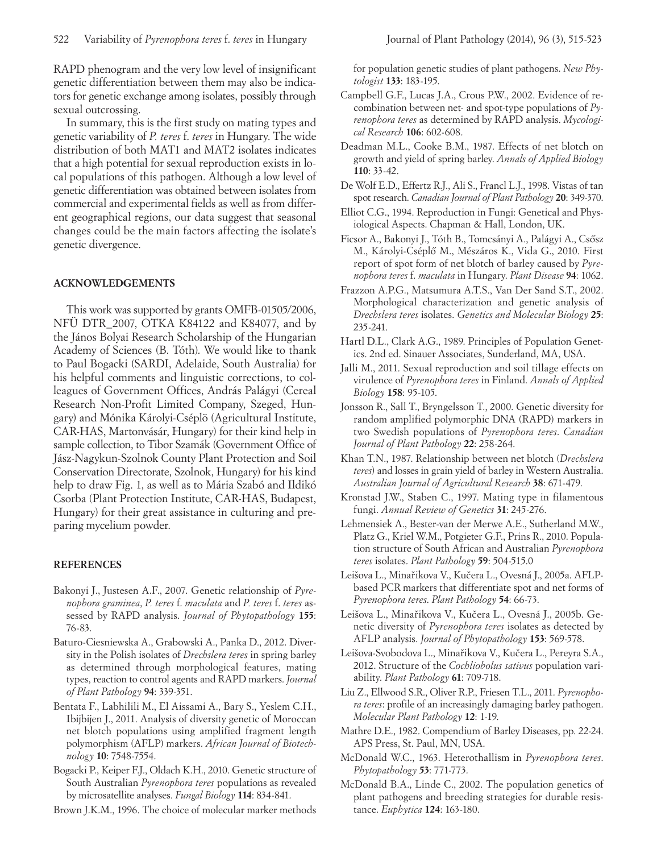RAPD phenogram and the very low level of insignificant genetic differentiation between them may also be indicators for genetic exchange among isolates, possibly through sexual outcrossing.

In summary, this is the first study on mating types and genetic variability of *P. teres* f. *teres* in Hungary. The wide distribution of both MAT1 and MAT2 isolates indicates that a high potential for sexual reproduction exists in local populations of this pathogen. Although a low level of genetic differentiation was obtained between isolates from commercial and experimental fields as well as from different geographical regions, our data suggest that seasonal changes could be the main factors affecting the isolate's genetic divergence.

## **ACKNOWLEDGEMENTS**

This work was supported by grants OMFB-01505/2006, NFÜ DTR\_2007, OTKA K84122 and K84077, and by the János Bolyai Research Scholarship of the Hungarian Academy of Sciences (B. Tóth). We would like to thank to Paul Bogacki (SARDI, Adelaide, South Australia) for his helpful comments and linguistic corrections, to colleagues of Government Offices, András Palágyi (Cereal Research Non-Profit Limited Company, Szeged, Hungary) and Mónika Károlyi-Cséplö (Agricultural Institute, CAR-HAS, Martonvásár, Hungary) for their kind help in sample collection, to Tibor Szamák (Government Office of Jász-Nagykun-Szolnok County Plant Protection and Soil Conservation Directorate, Szolnok, Hungary) for his kind help to draw Fig. 1, as well as to Mária Szabó and Ildikó Csorba (Plant Protection Institute, CAR-HAS, Budapest, Hungary) for their great assistance in culturing and preparing mycelium powder.

## **REFERENCES**

- Bakonyi J., Justesen A.F., 2007. Genetic relationship of *Pyrenophora graminea*, *P. teres* f. *maculata* and *P. teres* f. *teres* assessed by RAPD analysis. *Journal of Phytopathology* **155**: 76-83.
- Baturo-Ciesniewska A., Grabowski A., Panka D., 2012. Diversity in the Polish isolates of *Drechslera teres* in spring barley as determined through morphological features, mating types, reaction to control agents and RAPD markers. *Journal of Plant Pathology* **94**: 339-351.
- Bentata F., Labhilili M., El Aissami A., Bary S., Yeslem C.H., Ibijbijen J., 2011. Analysis of diversity genetic of Moroccan net blotch populations using amplified fragment length polymorphism (AFLP) markers. *African Journal of Biotechnology* **10**: 7548-7554.
- Bogacki P., Keiper F.J., Oldach K.H., 2010. Genetic structure of South Australian *Pyrenophora teres* populations as revealed by microsatellite analyses. *Fungal Biology* **114**: 834-841.

Brown J.K.M., 1996. The choice of molecular marker methods

for population genetic studies of plant pathogens. *New Phytologist* **133**: 183-195.

- Campbell G.F., Lucas J.A., Crous P.W., 2002. Evidence of recombination between net- and spot-type populations of *Pyrenophora teres* as determined by RAPD analysis. *Mycological Research* **106**: 602-608.
- Deadman M.L., Cooke B.M., 1987. Effects of net blotch on growth and yield of spring barley. *Annals of Applied Biology* **110**: 33-42.
- De Wolf E.D., Effertz R.J., Ali S., Francl L.J., 1998. Vistas of tan spot research. *Canadian Journal of Plant Pathology* **20**: 349-370.
- Elliot C.G., 1994. Reproduction in Fungi: Genetical and Physiological Aspects. Chapman & Hall, London, UK.
- Ficsor A., Bakonyi J., Tóth B., Tomcsányi A., Palágyi A., Csősz M., Károlyi-Cséplő M., Mészáros K., Vida G., 2010. First report of spot form of net blotch of barley caused by *Pyrenophora teres* f. *maculata* in Hungary. *Plant Disease* **94**: 1062.
- Frazzon A.P.G., Matsumura A.T.S., Van Der Sand S.T., 2002. Morphological characterization and genetic analysis of *Drechslera teres* isolates. *Genetics and Molecular Biology* **25**: 235-241.
- Hartl D.L., Clark A.G., 1989. Principles of Population Genetics. 2nd ed. Sinauer Associates, Sunderland, MA, USA.
- Jalli M., 2011. Sexual reproduction and soil tillage effects on virulence of *Pyrenophora teres* in Finland. *Annals of Applied Biology* **158**: 95-105.
- Jonsson R., Sall T., Bryngelsson T., 2000. Genetic diversity for random amplified polymorphic DNA (RAPD) markers in two Swedish populations of *Pyrenophora teres*. *Canadian Journal of Plant Pathology* **22**: 258-264.
- Khan T.N., 1987. Relationship between net blotch (*Drechslera teres*) and losses in grain yield of barley in Western Australia. *Australian Journal of Agricultural Research* **38**: 671-479.
- Kronstad J.W., Staben C., 1997. Mating type in filamentous fungi. *Annual Review of Genetics* **31**: 245-276.
- Lehmensiek A., Bester-van der Merwe A.E., Sutherland M.W., Platz G., Kriel W.M., Potgieter G.F., Prins R., 2010. Population structure of South African and Australian *Pyrenophora teres* isolates. *Plant Pathology* **59**: 504-515.0
- Leišova L., Minařikova V., Kučera L., Ovesná J., 2005a. AFLPbased PCR markers that differentiate spot and net forms of *Pyrenophora teres*. *Plant Pathology* **54**: 66-73.
- Leišova L., Minařikova V., Kučera L., Ovesná J., 2005b. Genetic diversity of *Pyrenophora teres* isolates as detected by AFLP analysis. *Journal of Phytopathology* **153**: 569-578.
- Leišova-Svobodova L., Minařikova V., Kučera L., Pereyra S.A., 2012. Structure of the *Cochliobolus sativus* population variability. *Plant Pathology* **61**: 709-718.
- Liu Z., Ellwood S.R., Oliver R.P., Friesen T.L., 2011. *Pyrenophora teres*: profile of an increasingly damaging barley pathogen. *Molecular Plant Pathology* **12**: 1-19.
- Mathre D.E., 1982. Compendium of Barley Diseases, pp. 22-24. APS Press, St. Paul, MN, USA.
- McDonald W.C., 1963. Heterothallism in *Pyrenophora teres*. *Phytopathology* **53**: 771-773.
- McDonald B.A., Linde C., 2002. The population genetics of plant pathogens and breeding strategies for durable resistance. *Euphytica* **124**: 163-180.